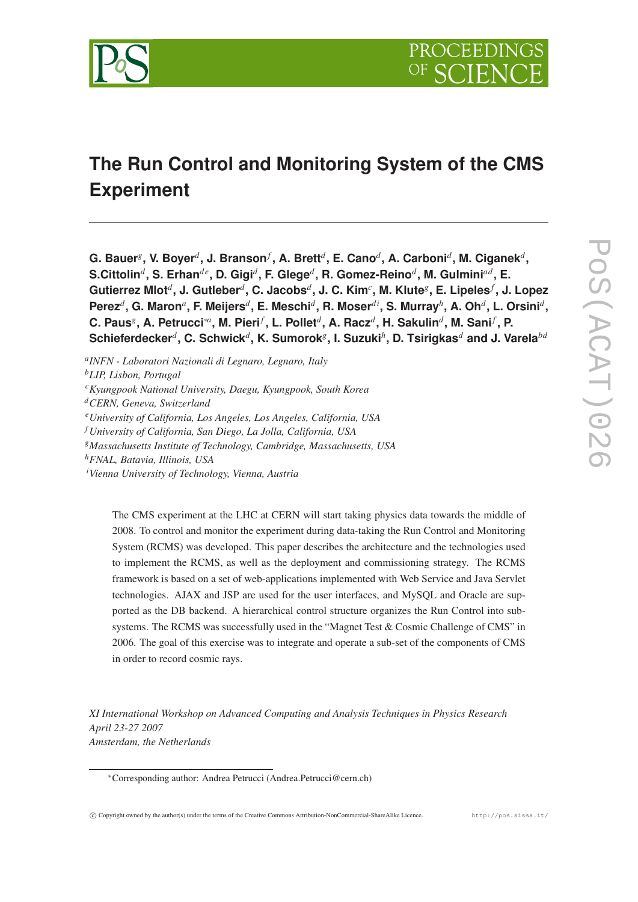

# **The Run Control and Monitoring System of the CMS Experiment**

 ${\bf G. \; Bauer}^g, \, {\bf V. \; Boyer}^d, \, {\bf J. \; Branson}^f, \, {\bf A. \; Brett}^d, \, {\bf E. \; Cano}^d, \, {\bf A. \; Carboni}^d, \, {\bf M. \; Ciganek}^d,$  $S.$ Cittolin $^d$ , S. Erhan $^{de}$ , D. Gigi $^d$ , F. Glege $^d$ , R. Gomez-Reino $^d$ , M. Gulmini $^{ad}$ , E. **Gutierrez Mlot***<sup>d</sup>* **, J. Gutleber***<sup>d</sup>* **, C. Jacobs***<sup>d</sup>* **, J. C. Kim***<sup>c</sup>* **, M. Klute***<sup>g</sup>* **, E. Lipeles***<sup>f</sup>* **, J. Lopez**  $\mathsf{Perez}^d$ , G. Maron $^a$ , F. Meijers $^d$ , E. Meschi $^d$ , R. Moser $^{di}$ , S. Murray $^h$ , A. Oh $^d$ , L. Orsini $^d$ , **C. Paus***<sup>g</sup>* **, A. Petrucci**∗*<sup>a</sup>* **, M. Pieri***<sup>f</sup>* **, L. Pollet***<sup>d</sup>* **, A. Racz***<sup>d</sup>* **, H. Sakulin***<sup>d</sup>* **, M. Sani***<sup>f</sup>* **, P.**  $\boldsymbol{\mathsf{Schieferdecker}^d}, \boldsymbol{\mathsf{C}}. \boldsymbol{\mathsf{Schwick}^d}, \boldsymbol{\mathsf{K}}. \boldsymbol{\mathsf{Sumorok}^g}, \boldsymbol{\mathsf{I}}. \boldsymbol{\mathsf{Suzuki}^h}, \boldsymbol{\mathsf{D}}. \boldsymbol{\mathsf{Tsirigkas}^d}$  and J. Varela $^{ba}$ 

*a INFN - Laboratori Nazionali di Legnaro, Legnaro, Italy*

*<sup>b</sup>LIP, Lisbon, Portugal*

*<sup>c</sup>Kyungpook National University, Daegu, Kyungpook, South Korea*

*<sup>d</sup>CERN, Geneva, Switzerland*

- *<sup>f</sup> University of California, San Diego, La Jolla, California, USA*
- *<sup>g</sup>Massachusetts Institute of Technology, Cambridge, Massachusetts, USA*
- *<sup>h</sup>FNAL, Batavia, Illinois, USA*

*<sup>i</sup>Vienna University of Technology, Vienna, Austria*

The CMS experiment at the LHC at CERN will start taking physics data towards the middle of 2008. To control and monitor the experiment during data-taking the Run Control and Monitoring System (RCMS) was developed. This paper describes the architecture and the technologies used to implement the RCMS, as well as the deployment and commissioning strategy. The RCMS framework is based on a set of web-applications implemented with Web Service and Java Servlet technologies. AJAX and JSP are used for the user interfaces, and MySQL and Oracle are supported as the DB backend. A hierarchical control structure organizes the Run Control into subsystems. The RCMS was successfully used in the "Magnet Test & Cosmic Challenge of CMS" in 2006. The goal of this exercise was to integrate and operate a sub-set of the components of CMS in order to record cosmic rays.

*XI International Workshop on Advanced Computing and Analysis Techniques in Physics Research April 23-27 2007 Amsterdam, the Netherlands*

*<sup>e</sup>University of California, Los Angeles, Los Angeles, California, USA*

<sup>∗</sup>Corresponding author: Andrea Petrucci (Andrea.Petrucci@cern.ch)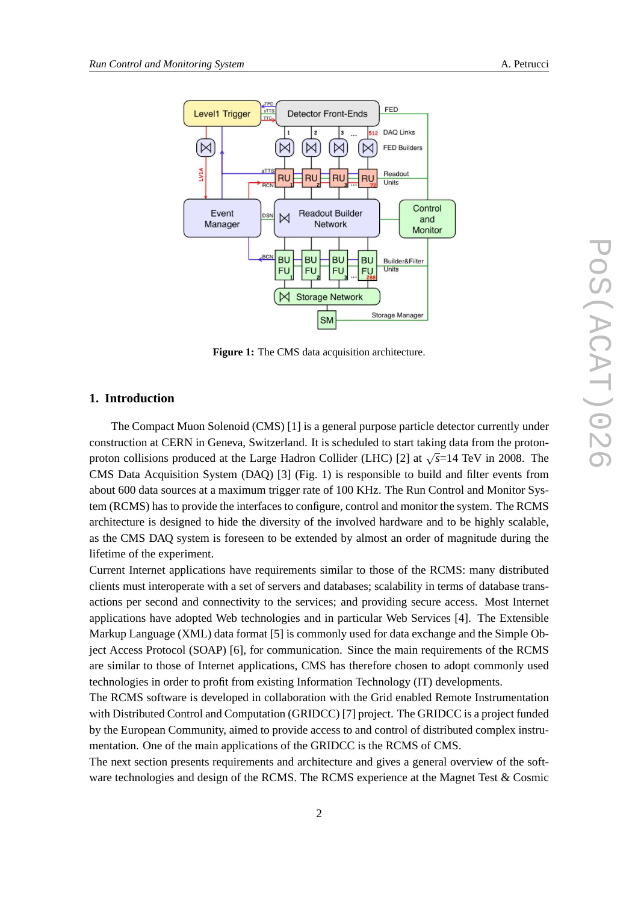

**Figure 1:** The CMS data acquisition architecture.

## **1. Introduction**

The Compact Muon Solenoid (CMS) [1] is a general purpose particle detector currently under construction at CERN in Geneva, Switzerland. It is scheduled to start taking data from the protonproton collisions produced at the Large Hadron Collider (LHC) [2] at √ *s*=14 TeV in 2008. The CMS Data Acquisition System (DAQ) [3] (Fig. 1) is responsible to build and filter events from about 600 data sources at a maximum trigger rate of 100 KHz. The Run Control and Monitor System (RCMS) has to provide the interfaces to configure, control and monitor the system. The RCMS architecture is designed to hide the diversity of the involved hardware and to be highly scalable, as the CMS DAQ system is foreseen to be extended by almost an order of magnitude during the lifetime of the experiment.

Current Internet applications have requirements similar to those of the RCMS: many distributed clients must interoperate with a set of servers and databases; scalability in terms of database transactions per second and connectivity to the services; and providing secure access. Most Internet applications have adopted Web technologies and in particular Web Services [4]. The Extensible Markup Language (XML) data format [5] is commonly used for data exchange and the Simple Object Access Protocol (SOAP) [6], for communication. Since the main requirements of the RCMS are similar to those of Internet applications, CMS has therefore chosen to adopt commonly used technologies in order to profit from existing Information Technology (IT) developments.

The RCMS software is developed in collaboration with the Grid enabled Remote Instrumentation with Distributed Control and Computation (GRIDCC) [7] project. The GRIDCC is a project funded by the European Community, aimed to provide access to and control of distributed complex instrumentation. One of the main applications of the GRIDCC is the RCMS of CMS.

The next section presents requirements and architecture and gives a general overview of the software technologies and design of the RCMS. The RCMS experience at the Magnet Test & Cosmic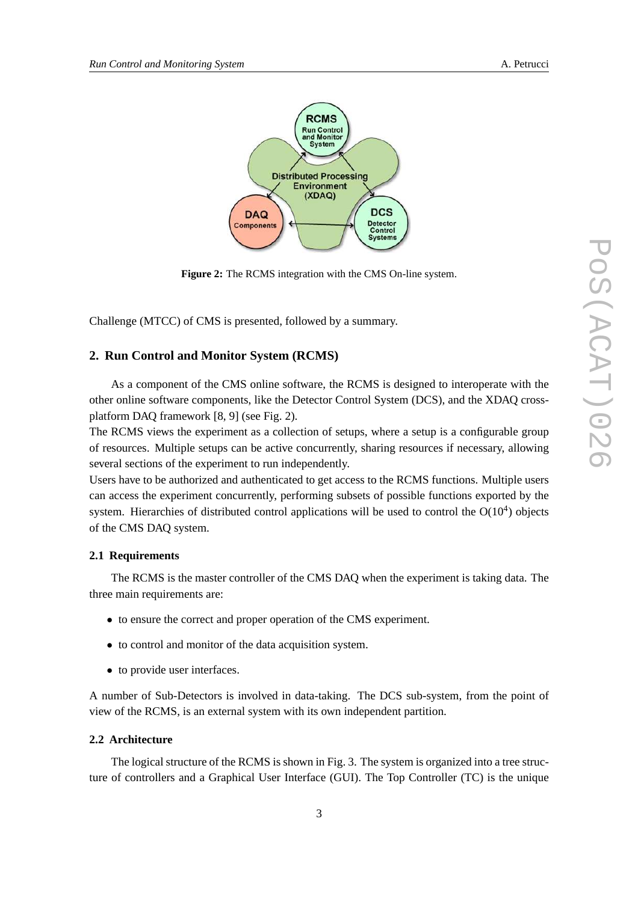



**Figure 2:** The RCMS integration with the CMS On-line system.

Challenge (MTCC) of CMS is presented, followed by a summary.

## **2. Run Control and Monitor System (RCMS)**

As a component of the CMS online software, the RCMS is designed to interoperate with the other online software components, like the Detector Control System (DCS), and the XDAQ crossplatform DAQ framework [8, 9] (see Fig. 2).

The RCMS views the experiment as a collection of setups, where a setup is a configurable group of resources. Multiple setups can be active concurrently, sharing resources if necessary, allowing several sections of the experiment to run independently.

Users have to be authorized and authenticated to get access to the RCMS functions. Multiple users can access the experiment concurrently, performing subsets of possible functions exported by the system. Hierarchies of distributed control applications will be used to control the  $O(10^4)$  objects of the CMS DAQ system.

## **2.1 Requirements**

The RCMS is the master controller of the CMS DAQ when the experiment is taking data. The three main requirements are:

- to ensure the correct and proper operation of the CMS experiment.
- to control and monitor of the data acquisition system.
- to provide user interfaces.

A number of Sub-Detectors is involved in data-taking. The DCS sub-system, from the point of view of the RCMS, is an external system with its own independent partition.

#### **2.2 Architecture**

The logical structure of the RCMS is shown in Fig. 3. The system is organized into a tree structure of controllers and a Graphical User Interface (GUI). The Top Controller (TC) is the unique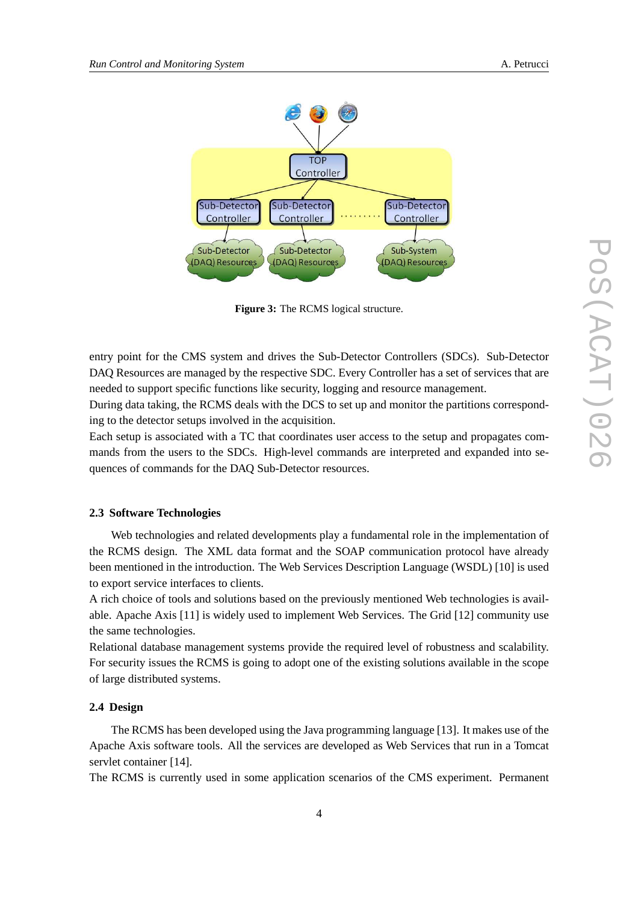

**Figure 3:** The RCMS logical structure.

entry point for the CMS system and drives the Sub-Detector Controllers (SDCs). Sub-Detector DAQ Resources are managed by the respective SDC. Every Controller has a set of services that are needed to support specific functions like security, logging and resource management.

During data taking, the RCMS deals with the DCS to set up and monitor the partitions corresponding to the detector setups involved in the acquisition.

Each setup is associated with a TC that coordinates user access to the setup and propagates commands from the users to the SDCs. High-level commands are interpreted and expanded into sequences of commands for the DAQ Sub-Detector resources.

# **2.3 Software Technologies**

Web technologies and related developments play a fundamental role in the implementation of the RCMS design. The XML data format and the SOAP communication protocol have already been mentioned in the introduction. The Web Services Description Language (WSDL) [10] is used to export service interfaces to clients.

A rich choice of tools and solutions based on the previously mentioned Web technologies is available. Apache Axis [11] is widely used to implement Web Services. The Grid [12] community use the same technologies.

Relational database management systems provide the required level of robustness and scalability. For security issues the RCMS is going to adopt one of the existing solutions available in the scope of large distributed systems.

## **2.4 Design**

The RCMS has been developed using the Java programming language [13]. It makes use of the Apache Axis software tools. All the services are developed as Web Services that run in a Tomcat servlet container [14].

The RCMS is currently used in some application scenarios of the CMS experiment. Permanent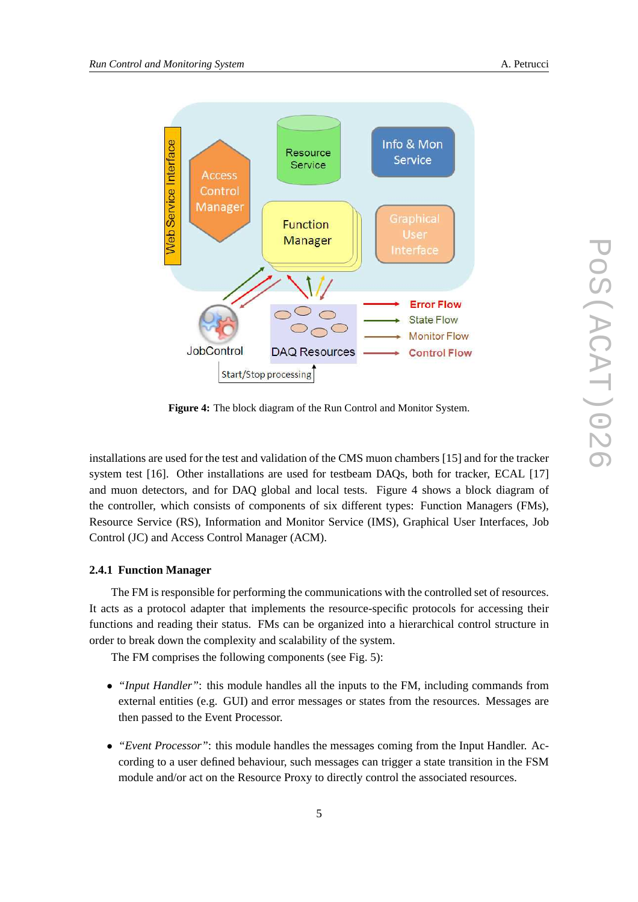

**Figure 4:** The block diagram of the Run Control and Monitor System.

installations are used for the test and validation of the CMS muon chambers [15] and for the tracker system test [16]. Other installations are used for testbeam DAQs, both for tracker, ECAL [17] and muon detectors, and for DAQ global and local tests. Figure 4 shows a block diagram of the controller, which consists of components of six different types: Function Managers (FMs), Resource Service (RS), Information and Monitor Service (IMS), Graphical User Interfaces, Job Control (JC) and Access Control Manager (ACM).

## **2.4.1 Function Manager**

The FM is responsible for performing the communications with the controlled set of resources. It acts as a protocol adapter that implements the resource-specific protocols for accessing their functions and reading their status. FMs can be organized into a hierarchical control structure in order to break down the complexity and scalability of the system.

The FM comprises the following components (see Fig. 5):

- *"Input Handler"*: this module handles all the inputs to the FM, including commands from external entities (e.g. GUI) and error messages or states from the resources. Messages are then passed to the Event Processor.
- *"Event Processor"*: this module handles the messages coming from the Input Handler. According to a user defined behaviour, such messages can trigger a state transition in the FSM module and/or act on the Resource Proxy to directly control the associated resources.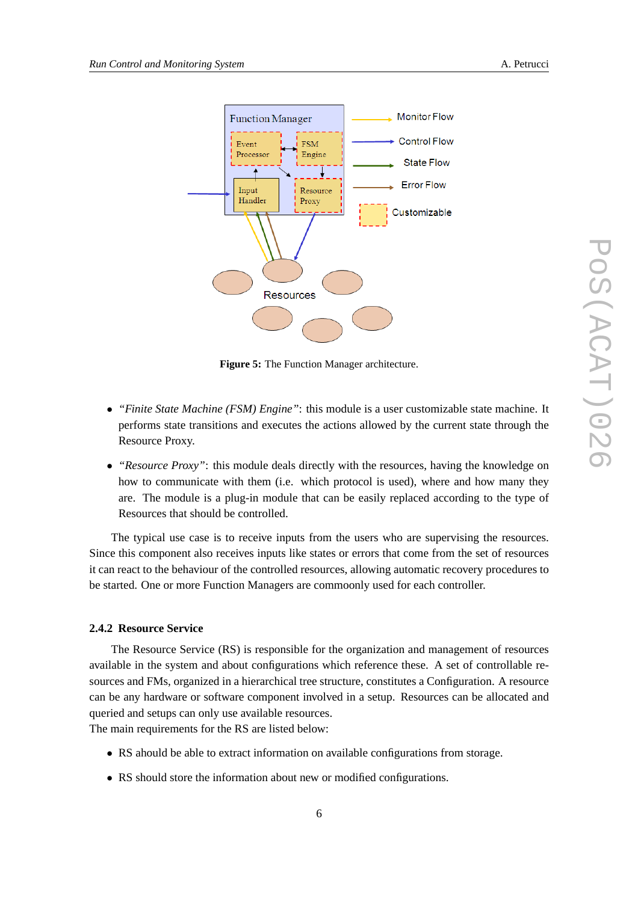



**Figure 5:** The Function Manager architecture.

- *"Finite State Machine (FSM) Engine"*: this module is a user customizable state machine. It performs state transitions and executes the actions allowed by the current state through the Resource Proxy.
- *"Resource Proxy"*: this module deals directly with the resources, having the knowledge on how to communicate with them (i.e. which protocol is used), where and how many they are. The module is a plug-in module that can be easily replaced according to the type of Resources that should be controlled.

The typical use case is to receive inputs from the users who are supervising the resources. Since this component also receives inputs like states or errors that come from the set of resources it can react to the behaviour of the controlled resources, allowing automatic recovery procedures to be started. One or more Function Managers are commoonly used for each controller.

#### **2.4.2 Resource Service**

The Resource Service (RS) is responsible for the organization and management of resources available in the system and about configurations which reference these. A set of controllable resources and FMs, organized in a hierarchical tree structure, constitutes a Configuration. A resource can be any hardware or software component involved in a setup. Resources can be allocated and queried and setups can only use available resources.

The main requirements for the RS are listed below:

- RS ahould be able to extract information on available configurations from storage.
- RS should store the information about new or modified configurations.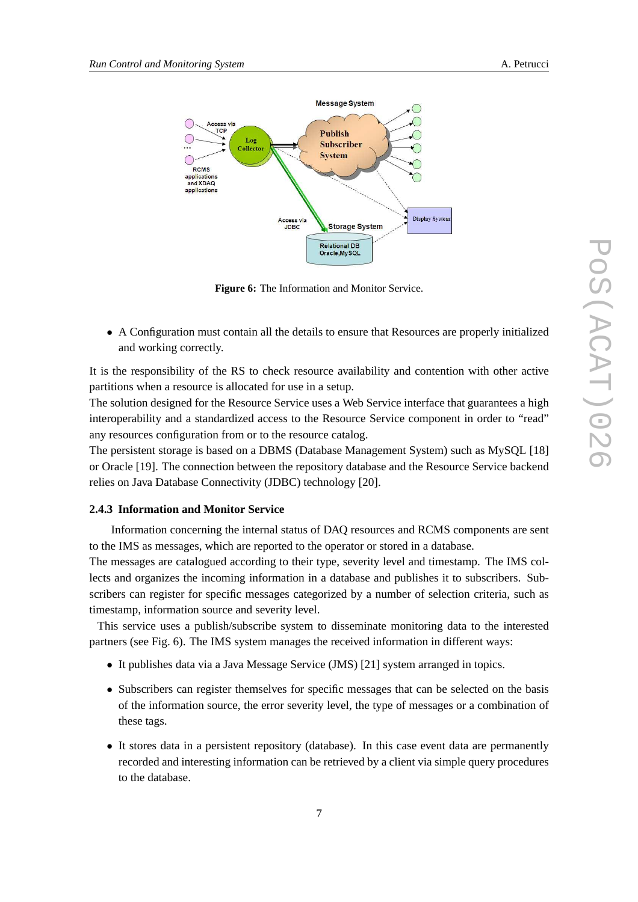



**Figure 6:** The Information and Monitor Service.

• A Configuration must contain all the details to ensure that Resources are properly initialized and working correctly.

It is the responsibility of the RS to check resource availability and contention with other active partitions when a resource is allocated for use in a setup.

The solution designed for the Resource Service uses a Web Service interface that guarantees a high interoperability and a standardized access to the Resource Service component in order to "read" any resources configuration from or to the resource catalog.

The persistent storage is based on a DBMS (Database Management System) such as MySQL [18] or Oracle [19]. The connection between the repository database and the Resource Service backend relies on Java Database Connectivity (JDBC) technology [20].

# **2.4.3 Information and Monitor Service**

Information concerning the internal status of DAQ resources and RCMS components are sent to the IMS as messages, which are reported to the operator or stored in a database.

The messages are catalogued according to their type, severity level and timestamp. The IMS collects and organizes the incoming information in a database and publishes it to subscribers. Subscribers can register for specific messages categorized by a number of selection criteria, such as timestamp, information source and severity level.

This service uses a publish/subscribe system to disseminate monitoring data to the interested partners (see Fig. 6). The IMS system manages the received information in different ways:

- It publishes data via a Java Message Service (JMS) [21] system arranged in topics.
- Subscribers can register themselves for specific messages that can be selected on the basis of the information source, the error severity level, the type of messages or a combination of these tags.
- It stores data in a persistent repository (database). In this case event data are permanently recorded and interesting information can be retrieved by a client via simple query procedures to the database.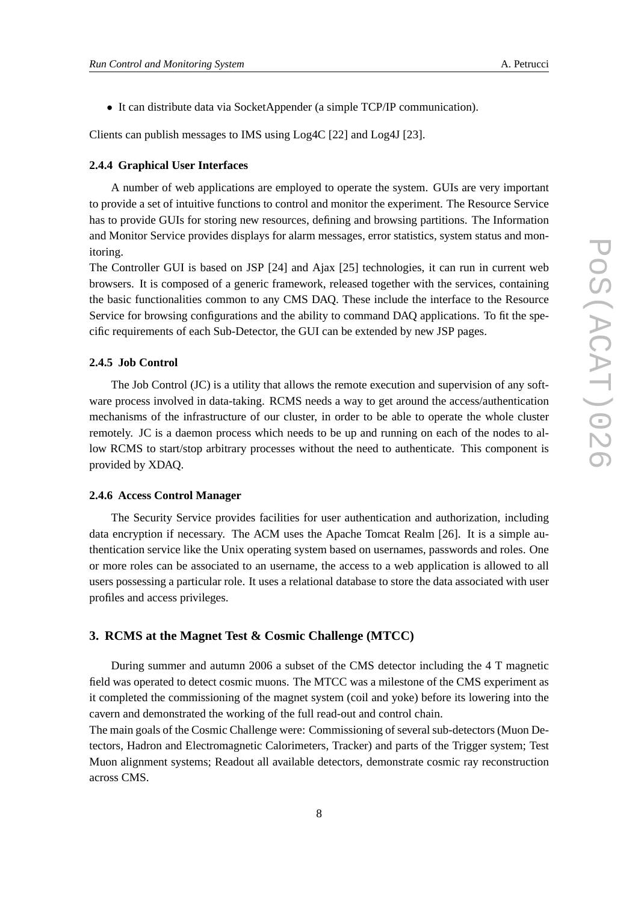• It can distribute data via SocketAppender (a simple TCP/IP communication).

Clients can publish messages to IMS using Log4C [22] and Log4J [23].

## **2.4.4 Graphical User Interfaces**

A number of web applications are employed to operate the system. GUIs are very important to provide a set of intuitive functions to control and monitor the experiment. The Resource Service has to provide GUIs for storing new resources, defining and browsing partitions. The Information and Monitor Service provides displays for alarm messages, error statistics, system status and monitoring.

The Controller GUI is based on JSP [24] and Ajax [25] technologies, it can run in current web browsers. It is composed of a generic framework, released together with the services, containing the basic functionalities common to any CMS DAQ. These include the interface to the Resource Service for browsing configurations and the ability to command DAQ applications. To fit the specific requirements of each Sub-Detector, the GUI can be extended by new JSP pages.

## **2.4.5 Job Control**

The Job Control (JC) is a utility that allows the remote execution and supervision of any software process involved in data-taking. RCMS needs a way to get around the access/authentication mechanisms of the infrastructure of our cluster, in order to be able to operate the whole cluster remotely. JC is a daemon process which needs to be up and running on each of the nodes to allow RCMS to start/stop arbitrary processes without the need to authenticate. This component is provided by XDAQ.

#### **2.4.6 Access Control Manager**

The Security Service provides facilities for user authentication and authorization, including data encryption if necessary. The ACM uses the Apache Tomcat Realm [26]. It is a simple authentication service like the Unix operating system based on usernames, passwords and roles. One or more roles can be associated to an username, the access to a web application is allowed to all users possessing a particular role. It uses a relational database to store the data associated with user profiles and access privileges.

## **3. RCMS at the Magnet Test & Cosmic Challenge (MTCC)**

During summer and autumn 2006 a subset of the CMS detector including the 4 T magnetic field was operated to detect cosmic muons. The MTCC was a milestone of the CMS experiment as it completed the commissioning of the magnet system (coil and yoke) before its lowering into the cavern and demonstrated the working of the full read-out and control chain.

The main goals of the Cosmic Challenge were: Commissioning of several sub-detectors (Muon Detectors, Hadron and Electromagnetic Calorimeters, Tracker) and parts of the Trigger system; Test Muon alignment systems; Readout all available detectors, demonstrate cosmic ray reconstruction across CMS.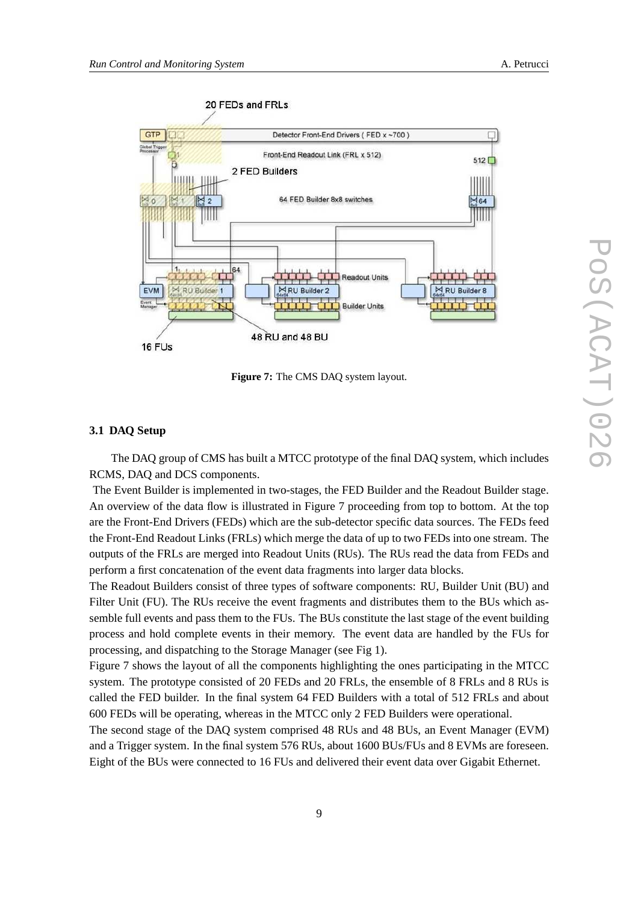

**Figure 7:** The CMS DAQ system layout.

## **3.1 DAQ Setup**

The DAQ group of CMS has built a MTCC prototype of the final DAQ system, which includes RCMS, DAQ and DCS components.

The Event Builder is implemented in two-stages, the FED Builder and the Readout Builder stage. An overview of the data flow is illustrated in Figure 7 proceeding from top to bottom. At the top are the Front-End Drivers (FEDs) which are the sub-detector specific data sources. The FEDs feed the Front-End Readout Links (FRLs) which merge the data of up to two FEDs into one stream. The outputs of the FRLs are merged into Readout Units (RUs). The RUs read the data from FEDs and perform a first concatenation of the event data fragments into larger data blocks.

The Readout Builders consist of three types of software components: RU, Builder Unit (BU) and Filter Unit (FU). The RUs receive the event fragments and distributes them to the BUs which assemble full events and pass them to the FUs. The BUs constitute the last stage of the event building process and hold complete events in their memory. The event data are handled by the FUs for processing, and dispatching to the Storage Manager (see Fig 1).

Figure 7 shows the layout of all the components highlighting the ones participating in the MTCC system. The prototype consisted of 20 FEDs and 20 FRLs, the ensemble of 8 FRLs and 8 RUs is called the FED builder. In the final system 64 FED Builders with a total of 512 FRLs and about 600 FEDs will be operating, whereas in the MTCC only 2 FED Builders were operational.

The second stage of the DAQ system comprised 48 RUs and 48 BUs, an Event Manager (EVM) and a Trigger system. In the final system 576 RUs, about 1600 BUs/FUs and 8 EVMs are foreseen. Eight of the BUs were connected to 16 FUs and delivered their event data over Gigabit Ethernet.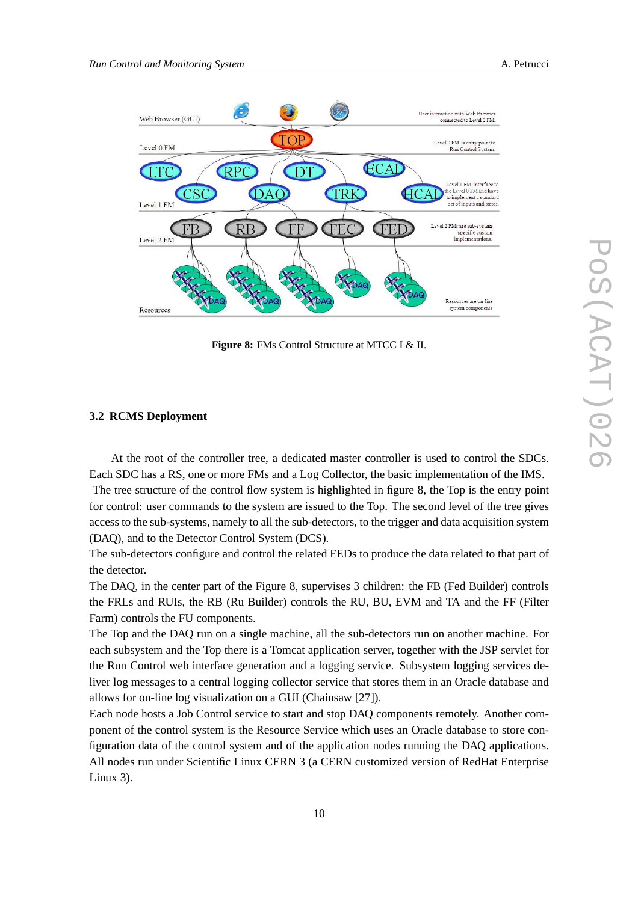

**Figure 8:** FMs Control Structure at MTCC I & II.

## **3.2 RCMS Deployment**

At the root of the controller tree, a dedicated master controller is used to control the SDCs. Each SDC has a RS, one or more FMs and a Log Collector, the basic implementation of the IMS.

The tree structure of the control flow system is highlighted in figure 8, the Top is the entry point for control: user commands to the system are issued to the Top. The second level of the tree gives access to the sub-systems, namely to all the sub-detectors, to the trigger and data acquisition system (DAQ), and to the Detector Control System (DCS).

The sub-detectors configure and control the related FEDs to produce the data related to that part of the detector.

The DAQ, in the center part of the Figure 8, supervises 3 children: the FB (Fed Builder) controls the FRLs and RUIs, the RB (Ru Builder) controls the RU, BU, EVM and TA and the FF (Filter Farm) controls the FU components.

The Top and the DAQ run on a single machine, all the sub-detectors run on another machine. For each subsystem and the Top there is a Tomcat application server, together with the JSP servlet for the Run Control web interface generation and a logging service. Subsystem logging services deliver log messages to a central logging collector service that stores them in an Oracle database and allows for on-line log visualization on a GUI (Chainsaw [27]).

Each node hosts a Job Control service to start and stop DAQ components remotely. Another component of the control system is the Resource Service which uses an Oracle database to store configuration data of the control system and of the application nodes running the DAQ applications. All nodes run under Scientific Linux CERN 3 (a CERN customized version of RedHat Enterprise Linux 3).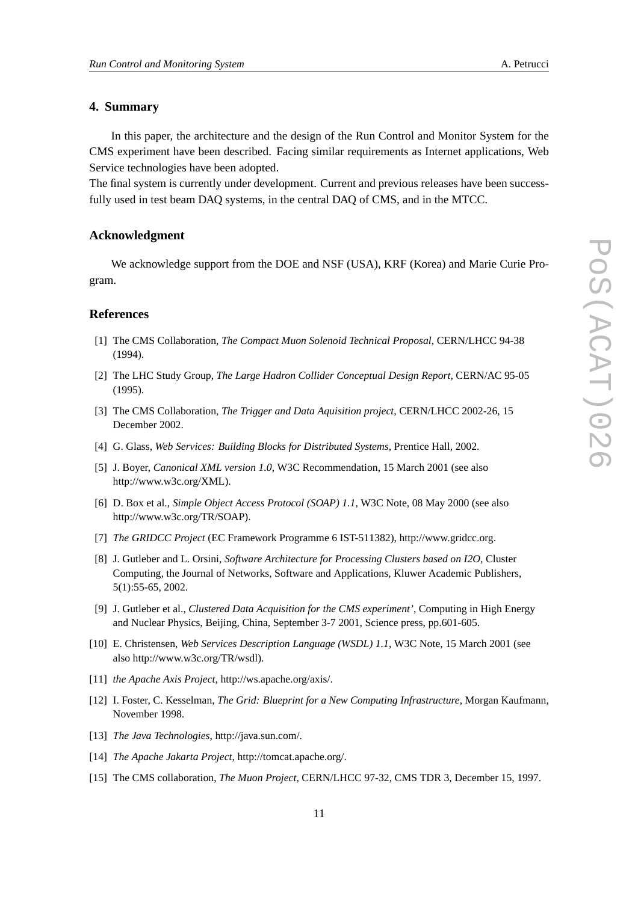## **4. Summary**

In this paper, the architecture and the design of the Run Control and Monitor System for the CMS experiment have been described. Facing similar requirements as Internet applications, Web Service technologies have been adopted.

The final system is currently under development. Current and previous releases have been successfully used in test beam DAQ systems, in the central DAQ of CMS, and in the MTCC.

## **Acknowledgment**

We acknowledge support from the DOE and NSF (USA), KRF (Korea) and Marie Curie Program.

#### **References**

- [1] The CMS Collaboration, *The Compact Muon Solenoid Technical Proposal*, CERN/LHCC 94-38 (1994).
- [2] The LHC Study Group, *The Large Hadron Collider Conceptual Design Report*, CERN/AC 95-05 (1995).
- [3] The CMS Collaboration, *The Trigger and Data Aquisition project*, CERN/LHCC 2002-26, 15 December 2002.
- [4] G. Glass, *Web Services: Building Blocks for Distributed Systems*, Prentice Hall, 2002.
- [5] J. Boyer, *Canonical XML version 1.0*, W3C Recommendation, 15 March 2001 (see also http://www.w3c.org/XML).
- [6] D. Box et al., *Simple Object Access Protocol (SOAP) 1.1*, W3C Note, 08 May 2000 (see also http://www.w3c.org/TR/SOAP).
- [7] *The GRIDCC Project* (EC Framework Programme 6 IST-511382), http://www.gridcc.org.
- [8] J. Gutleber and L. Orsini, *Software Architecture for Processing Clusters based on I2O*, Cluster Computing, the Journal of Networks, Software and Applications, Kluwer Academic Publishers, 5(1):55-65, 2002.
- [9] J. Gutleber et al., *Clustered Data Acquisition for the CMS experiment'*, Computing in High Energy and Nuclear Physics, Beijing, China, September 3-7 2001, Science press, pp.601-605.
- [10] E. Christensen, *Web Services Description Language (WSDL) 1.1*, W3C Note, 15 March 2001 (see also http://www.w3c.org/TR/wsdl).
- [11] *the Apache Axis Project*, http://ws.apache.org/axis/.
- [12] I. Foster, C. Kesselman, *The Grid: Blueprint for a New Computing Infrastructure*, Morgan Kaufmann, November 1998.
- [13] *The Java Technologies*, http://java.sun.com/.
- [14] *The Apache Jakarta Project*, http://tomcat.apache.org/.
- [15] The CMS collaboration, *The Muon Project*, CERN/LHCC 97-32, CMS TDR 3, December 15, 1997.